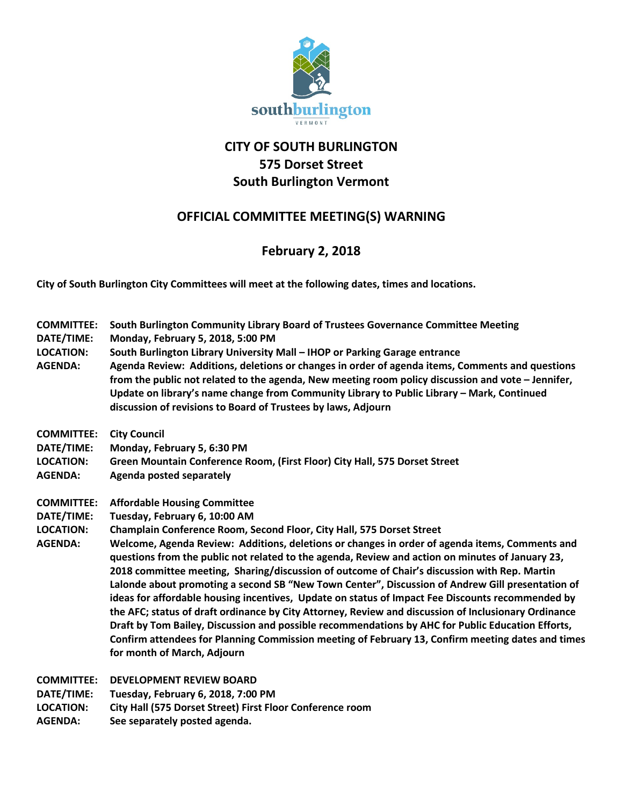

## **CITY OF SOUTH BURLINGTON 575 Dorset Street South Burlington Vermont**

## **OFFICIAL COMMITTEE MEETING(S) WARNING**

## **February 2, 2018**

**City of South Burlington City Committees will meet at the following dates, times and locations.** 

- **COMMITTEE: South Burlington Community Library Board of Trustees Governance Committee Meeting**
- **DATE/TIME: Monday, February 5, 2018, 5:00 PM**
- **LOCATION: South Burlington Library University Mall – IHOP or Parking Garage entrance**
- **AGENDA: Agenda Review: Additions, deletions or changes in order of agenda items, Comments and questions from the public not related to the agenda, New meeting room policy discussion and vote – Jennifer, Update on library's name change from Community Library to Public Library – Mark, Continued discussion of revisions to Board of Trustees by laws, Adjourn**
- **COMMITTEE: City Council**
- **DATE/TIME: Monday, February 5, 6:30 PM**
- **LOCATION: Green Mountain Conference Room, (First Floor) City Hall, 575 Dorset Street**
- **AGENDA: Agenda posted separately**
- **COMMITTEE: Affordable Housing Committee**
- **DATE/TIME: Tuesday, February 6, 10:00 AM**
- **LOCATION: Champlain Conference Room, Second Floor, City Hall, 575 Dorset Street**
- **AGENDA: Welcome, Agenda Review: Additions, deletions or changes in order of agenda items, Comments and questions from the public not related to the agenda, Review and action on minutes of January 23, 2018 committee meeting, Sharing/discussion of outcome of Chair's discussion with Rep. Martin Lalonde about promoting a second SB "New Town Center", Discussion of Andrew Gill presentation of ideas for affordable housing incentives, Update on status of Impact Fee Discounts recommended by the AFC; status of draft ordinance by City Attorney, Review and discussion of Inclusionary Ordinance Draft by Tom Bailey, Discussion and possible recommendations by AHC for Public Education Efforts, Confirm attendees for Planning Commission meeting of February 13, Confirm meeting dates and times for month of March, Adjourn**

**COMMITTEE: DEVELOPMENT REVIEW BOARD**

- **DATE/TIME: Tuesday, February 6, 2018, 7:00 PM**
- **LOCATION: City Hall (575 Dorset Street) First Floor Conference room**
- **AGENDA: See separately posted agenda.**